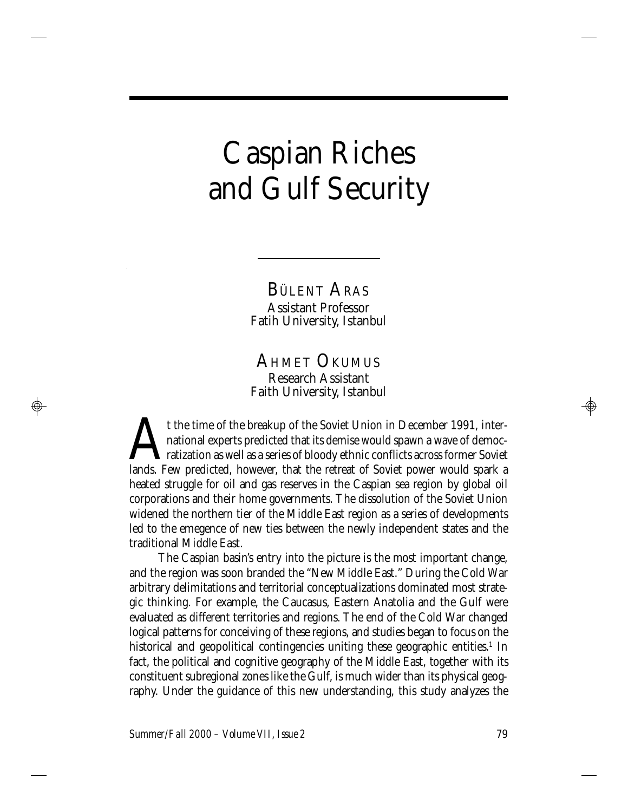# Caspian Riches and Gulf Security

BÜLENT ARAS Assistant Professor Fatih University, Istanbul

AHMET OKUMUS Research Assistant Faith University, Istanbul

t the time of the breakup of the Soviet Union in December 1991, inter-<br>national experts predicted that its demise would spawn a wave of democ-<br>ratization as well as a series of bloody ethnic conflicts across former Soviet<br> t the time of the breakup of the Soviet Union in December 1991, international experts predicted that its demise would spawn a wave of democratization as well as a series of bloody ethnic conflicts across former Soviet heated struggle for oil and gas reserves in the Caspian sea region by global oil corporations and their home governments. The dissolution of the Soviet Union widened the northern tier of the Middle East region as a series of developments led to the emegence of new ties between the newly independent states and the traditional Middle East.

The Caspian basin's entry into the picture is the most important change, and the region was soon branded the "New Middle East." During the Cold War arbitrary delimitations and territorial conceptualizations dominated most strategic thinking. For example, the Caucasus, Eastern Anatolia and the Gulf were evaluated as different territories and regions. The end of the Cold War changed logical patterns for conceiving of these regions, and studies began to focus on the historical and geopolitical contingencies uniting these geographic entities.<sup>1</sup> In fact, the political and cognitive geography of the Middle East, together with its constituent subregional zones like the Gulf, is much wider than its physical geography. Under the guidance of this new understanding, this study analyzes the

*Summer/Fall 2000 – Volume VII, Issue 2* 79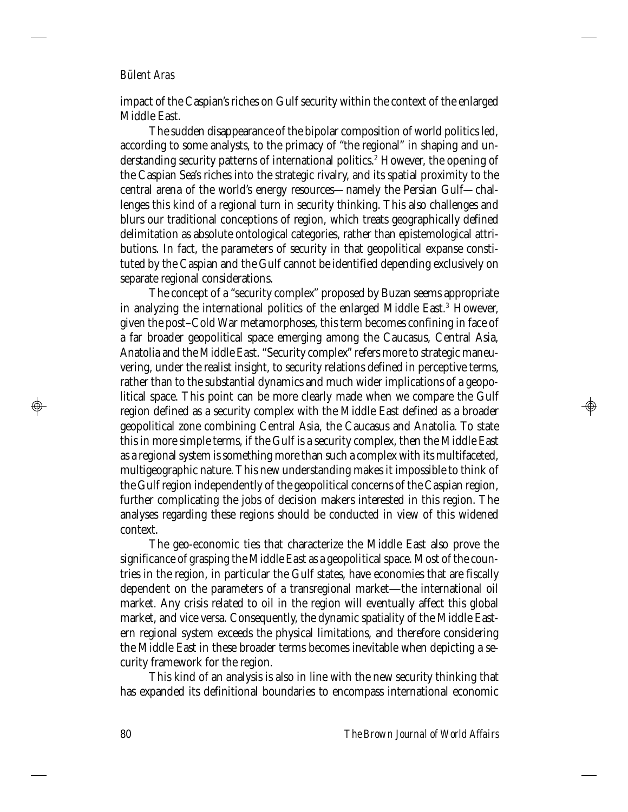impact of the Caspian's riches on Gulf security within the context of the enlarged Middle East.

The sudden disappearance of the bipolar composition of world politics led, according to some analysts, to the primacy of "the regional" in shaping and understanding security patterns of international politics.<sup>2</sup> However, the opening of the Caspian Sea's riches into the strategic rivalry, and its spatial proximity to the central arena of the world's energy resources—namely the Persian Gulf—challenges this kind of a regional turn in security thinking. This also challenges and blurs our traditional conceptions of region, which treats geographically defined delimitation as absolute ontological categories, rather than epistemological attributions. In fact, the parameters of security in that geopolitical expanse constituted by the Caspian and the Gulf cannot be identified depending exclusively on separate regional considerations.

The concept of a "security complex" proposed by Buzan seems appropriate in analyzing the international politics of the enlarged Middle East.<sup>3</sup> However, given the post–Cold War metamorphoses, this term becomes confining in face of a far broader geopolitical space emerging among the Caucasus, Central Asia, Anatolia and the Middle East. "Security complex" refers more to strategic maneuvering, under the realist insight, to security relations defined in perceptive terms, rather than to the substantial dynamics and much wider implications of a geopolitical space. This point can be more clearly made when we compare the Gulf region defined as a security complex with the Middle East defined as a broader geopolitical zone combining Central Asia, the Caucasus and Anatolia. To state this in more simple terms, if the Gulf is a security complex, then the Middle East as a regional system is something more than such a complex with its multifaceted, multigeographic nature. This new understanding makes it impossible to think of the Gulf region independently of the geopolitical concerns of the Caspian region, further complicating the jobs of decision makers interested in this region. The analyses regarding these regions should be conducted in view of this widened context.

The geo-economic ties that characterize the Middle East also prove the significance of grasping the Middle East as a geopolitical space. Most of the countries in the region, in particular the Gulf states, have economies that are fiscally dependent on the parameters of a transregional market—the international oil market. Any crisis related to oil in the region will eventually affect this global market, and vice versa. Consequently, the dynamic spatiality of the Middle Eastern regional system exceeds the physical limitations, and therefore considering the Middle East in these broader terms becomes inevitable when depicting a security framework for the region.

This kind of an analysis is also in line with the new security thinking that has expanded its definitional boundaries to encompass international economic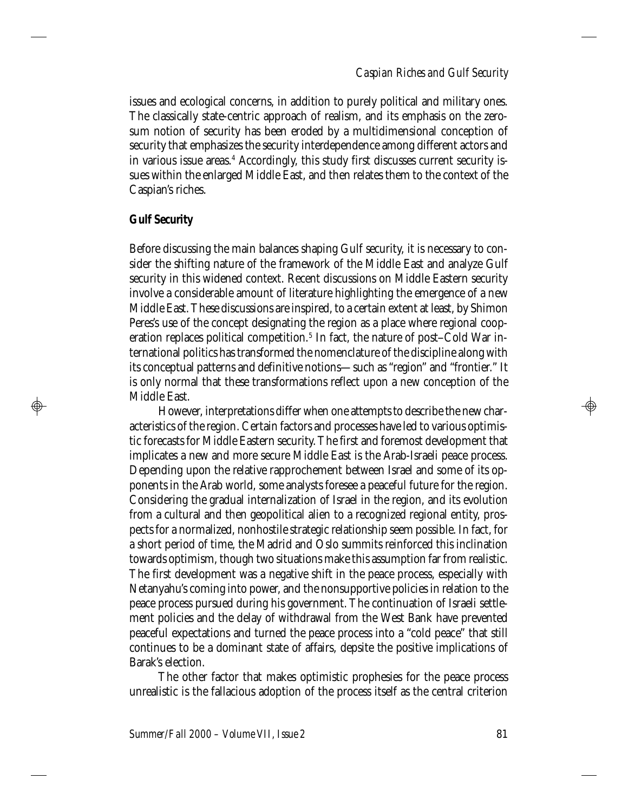# *Caspian Riches and Gulf Security*

issues and ecological concerns, in addition to purely political and military ones. The classically state-centric approach of realism, and its emphasis on the zerosum notion of security has been eroded by a multidimensional conception of security that emphasizes the security interdependence among different actors and in various issue areas.<sup>4</sup> Accordingly, this study first discusses current security issues within the enlarged Middle East, and then relates them to the context of the Caspian's riches.

## **Gulf Security**

 $\bigoplus$ 

Before discussing the main balances shaping Gulf security, it is necessary to consider the shifting nature of the framework of the Middle East and analyze Gulf security in this widened context. Recent discussions on Middle Eastern security involve a considerable amount of literature highlighting the emergence of a new Middle East. These discussions are inspired, to a certain extent at least, by Shimon Peres's use of the concept designating the region as a place where regional cooperation replaces political competition.<sup>5</sup> In fact, the nature of post–Cold War international politics has transformed the nomenclature of the discipline along with its conceptual patterns and definitive notions—such as "region" and "frontier." It is only normal that these transformations reflect upon a new conception of the Middle East.

However, interpretations differ when one attempts to describe the new characteristics of the region. Certain factors and processes have led to various optimistic forecasts for Middle Eastern security. The first and foremost development that implicates a new and more secure Middle East is the Arab-Israeli peace process. Depending upon the relative rapprochement between Israel and some of its opponents in the Arab world, some analysts foresee a peaceful future for the region. Considering the gradual internalization of Israel in the region, and its evolution from a cultural and then geopolitical alien to a recognized regional entity, prospects for a normalized, nonhostile strategic relationship seem possible. In fact, for a short period of time, the Madrid and Oslo summits reinforced this inclination towards optimism, though two situations make this assumption far from realistic. The first development was a negative shift in the peace process, especially with Netanyahu's coming into power, and the nonsupportive policies in relation to the peace process pursued during his government. The continuation of Israeli settlement policies and the delay of withdrawal from the West Bank have prevented peaceful expectations and turned the peace process into a "cold peace" that still continues to be a dominant state of affairs, depsite the positive implications of Barak's election.

The other factor that makes optimistic prophesies for the peace process unrealistic is the fallacious adoption of the process itself as the central criterion

*Summer/Fall 2000 – Volume VII, Issue 2* 81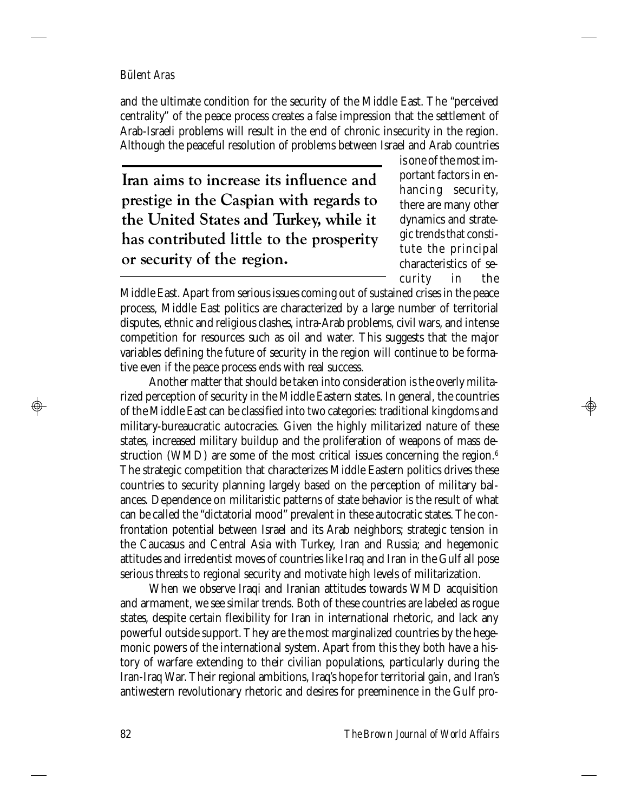and the ultimate condition for the security of the Middle East. The "perceived centrality" of the peace process creates a false impression that the settlement of Arab-Israeli problems will result in the end of chronic insecurity in the region. Although the peaceful resolution of problems between Israel and Arab countries

**Iran aims to increase its influence and prestige in the Caspian with regards to the United States and Turkey, while it has contributed little to the prosperity or security of the region.**

is one of the most important factors in enhancing security, there are many other dynamics and strategic trends that constitute the principal characteristics of security in the

Middle East. Apart from serious issues coming out of sustained crises in the peace process, Middle East politics are characterized by a large number of territorial disputes, ethnic and religious clashes, intra-Arab problems, civil wars, and intense competition for resources such as oil and water. This suggests that the major variables defining the future of security in the region will continue to be formative even if the peace process ends with real success.

Another matter that should be taken into consideration is the overly militarized perception of security in the Middle Eastern states. In general, the countries of the Middle East can be classified into two categories: traditional kingdoms and military-bureaucratic autocracies. Given the highly militarized nature of these states, increased military buildup and the proliferation of weapons of mass destruction (WMD) are some of the most critical issues concerning the region.<sup>6</sup> The strategic competition that characterizes Middle Eastern politics drives these countries to security planning largely based on the perception of military balances. Dependence on militaristic patterns of state behavior is the result of what can be called the "dictatorial mood" prevalent in these autocratic states. The confrontation potential between Israel and its Arab neighbors; strategic tension in the Caucasus and Central Asia with Turkey, Iran and Russia; and hegemonic attitudes and irredentist moves of countries like Iraq and Iran in the Gulf all pose serious threats to regional security and motivate high levels of militarization.

When we observe Iraqi and Iranian attitudes towards WMD acquisition and armament, we see similar trends. Both of these countries are labeled as rogue states, despite certain flexibility for Iran in international rhetoric, and lack any powerful outside support. They are the most marginalized countries by the hegemonic powers of the international system. Apart from this they both have a history of warfare extending to their civilian populations, particularly during the Iran-Iraq War. Their regional ambitions, Iraq's hope for territorial gain, and Iran's antiwestern revolutionary rhetoric and desires for preeminence in the Gulf pro-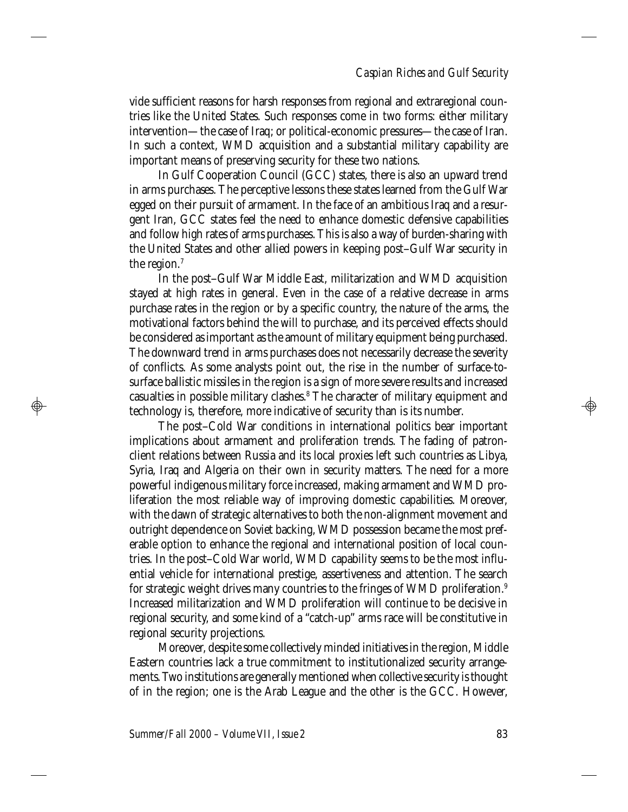vide sufficient reasons for harsh responses from regional and extraregional countries like the United States. Such responses come in two forms: either military intervention—the case of Iraq; or political-economic pressures—the case of Iran. In such a context, WMD acquisition and a substantial military capability are important means of preserving security for these two nations.

In Gulf Cooperation Council (GCC) states, there is also an upward trend in arms purchases. The perceptive lessons these states learned from the Gulf War egged on their pursuit of armament. In the face of an ambitious Iraq and a resurgent Iran, GCC states feel the need to enhance domestic defensive capabilities and follow high rates of arms purchases. This is also a way of burden-sharing with the United States and other allied powers in keeping post–Gulf War security in the region.<sup>7</sup>

In the post–Gulf War Middle East, militarization and WMD acquisition stayed at high rates in general. Even in the case of a relative decrease in arms purchase rates in the region or by a specific country, the nature of the arms, the motivational factors behind the will to purchase, and its perceived effects should be considered as important as the amount of military equipment being purchased. The downward trend in arms purchases does not necessarily decrease the severity of conflicts. As some analysts point out, the rise in the number of surface-tosurface ballistic missiles in the region is a sign of more severe results and increased casualties in possible military clashes.<sup>8</sup> The character of military equipment and technology is, therefore, more indicative of security than is its number.

The post–Cold War conditions in international politics bear important implications about armament and proliferation trends. The fading of patronclient relations between Russia and its local proxies left such countries as Libya, Syria, Iraq and Algeria on their own in security matters. The need for a more powerful indigenous military force increased, making armament and WMD proliferation the most reliable way of improving domestic capabilities. Moreover, with the dawn of strategic alternatives to both the non-alignment movement and outright dependence on Soviet backing, WMD possession became the most preferable option to enhance the regional and international position of local countries. In the post–Cold War world, WMD capability seems to be the most influential vehicle for international prestige, assertiveness and attention. The search for strategic weight drives many countries to the fringes of WMD proliferation.<sup>9</sup> Increased militarization and WMD proliferation will continue to be decisive in regional security, and some kind of a "catch-up" arms race will be constitutive in regional security projections.

Moreover, despite some collectively minded initiatives in the region, Middle Eastern countries lack a true commitment to institutionalized security arrangements. Two institutions are generally mentioned when collective security is thought of in the region; one is the Arab League and the other is the GCC. However,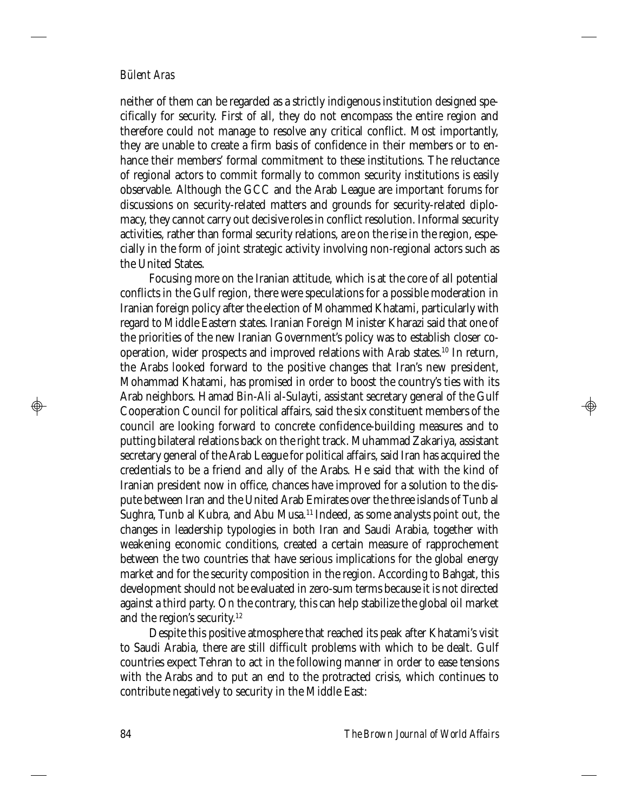neither of them can be regarded as a strictly indigenous institution designed specifically for security. First of all, they do not encompass the entire region and therefore could not manage to resolve any critical conflict. Most importantly, they are unable to create a firm basis of confidence in their members or to enhance their members' formal commitment to these institutions. The reluctance of regional actors to commit formally to common security institutions is easily observable. Although the GCC and the Arab League are important forums for discussions on security-related matters and grounds for security-related diplomacy, they cannot carry out decisive roles in conflict resolution. Informal security activities, rather than formal security relations, are on the rise in the region, especially in the form of joint strategic activity involving non-regional actors such as the United States.

Focusing more on the Iranian attitude, which is at the core of all potential conflicts in the Gulf region, there were speculations for a possible moderation in Iranian foreign policy after the election of Mohammed Khatami, particularly with regard to Middle Eastern states. Iranian Foreign Minister Kharazi said that one of the priorities of the new Iranian Government's policy was to establish closer cooperation, wider prospects and improved relations with Arab states.<sup>10</sup> In return, the Arabs looked forward to the positive changes that Iran's new president, Mohammad Khatami, has promised in order to boost the country's ties with its Arab neighbors. Hamad Bin-Ali al-Sulayti, assistant secretary general of the Gulf Cooperation Council for political affairs, said the six constituent members of the council are looking forward to concrete confidence-building measures and to putting bilateral relations back on the right track. Muhammad Zakariya, assistant secretary general of the Arab League for political affairs, said Iran has acquired the credentials to be a friend and ally of the Arabs. He said that with the kind of Iranian president now in office, chances have improved for a solution to the dispute between Iran and the United Arab Emirates over the three islands of Tunb al Sughra, Tunb al Kubra, and Abu Musa.<sup>11</sup> Indeed, as some analysts point out, the changes in leadership typologies in both Iran and Saudi Arabia, together with weakening economic conditions, created a certain measure of rapprochement between the two countries that have serious implications for the global energy market and for the security composition in the region. According to Bahgat, this development should not be evaluated in zero-sum terms because it is not directed against a third party. On the contrary, this can help stabilize the global oil market and the region's security.<sup>12</sup>

Despite this positive atmosphere that reached its peak after Khatami's visit to Saudi Arabia, there are still difficult problems with which to be dealt. Gulf countries expect Tehran to act in the following manner in order to ease tensions with the Arabs and to put an end to the protracted crisis, which continues to contribute negatively to security in the Middle East: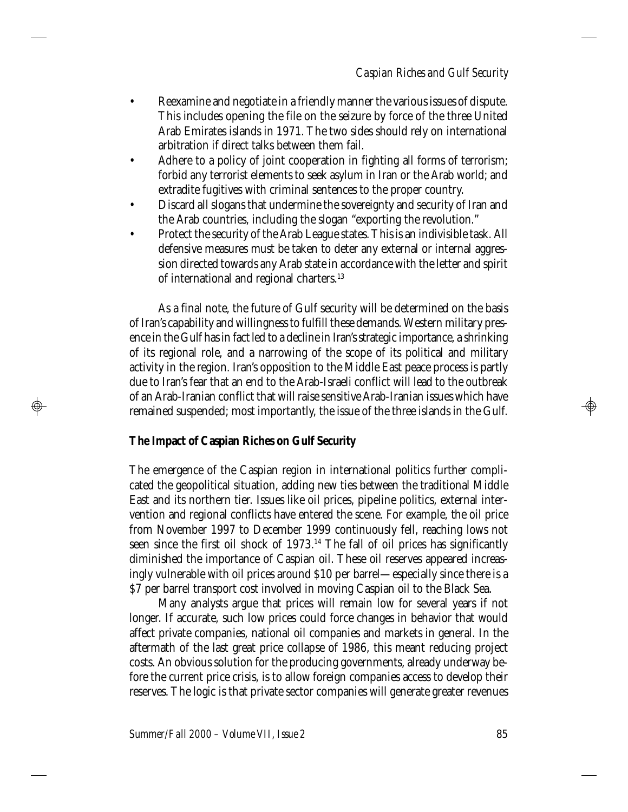- Reexamine and negotiate in a friendly manner the various issues of dispute. This includes opening the file on the seizure by force of the three United Arab Emirates islands in 1971. The two sides should rely on international arbitration if direct talks between them fail.
- Adhere to a policy of joint cooperation in fighting all forms of terrorism; forbid any terrorist elements to seek asylum in Iran or the Arab world; and extradite fugitives with criminal sentences to the proper country.
- Discard all slogans that undermine the sovereignty and security of Iran and the Arab countries, including the slogan "exporting the revolution."
- Protect the security of the Arab League states. This is an indivisible task. All defensive measures must be taken to deter any external or internal aggression directed towards any Arab state in accordance with the letter and spirit of international and regional charters.<sup>13</sup>

As a final note, the future of Gulf security will be determined on the basis of Iran's capability and willingness to fulfill these demands. Western military presence in the Gulf has in fact led to a decline in Iran's strategic importance, a shrinking of its regional role, and a narrowing of the scope of its political and military activity in the region. Iran's opposition to the Middle East peace process is partly due to Iran's fear that an end to the Arab-Israeli conflict will lead to the outbreak of an Arab-Iranian conflict that will raise sensitive Arab-Iranian issues which have remained suspended; most importantly, the issue of the three islands in the Gulf.

#### **The Impact of Caspian Riches on Gulf Security**

 $\bigoplus$ 

The emergence of the Caspian region in international politics further complicated the geopolitical situation, adding new ties between the traditional Middle East and its northern tier. Issues like oil prices, pipeline politics, external intervention and regional conflicts have entered the scene. For example, the oil price from November 1997 to December 1999 continuously fell, reaching lows not seen since the first oil shock of 1973.<sup>14</sup> The fall of oil prices has significantly diminished the importance of Caspian oil. These oil reserves appeared increasingly vulnerable with oil prices around \$10 per barrel—especially since there is a \$7 per barrel transport cost involved in moving Caspian oil to the Black Sea.

Many analysts argue that prices will remain low for several years if not longer. If accurate, such low prices could force changes in behavior that would affect private companies, national oil companies and markets in general. In the aftermath of the last great price collapse of 1986, this meant reducing project costs. An obvious solution for the producing governments, already underway before the current price crisis, is to allow foreign companies access to develop their reserves. The logic is that private sector companies will generate greater revenues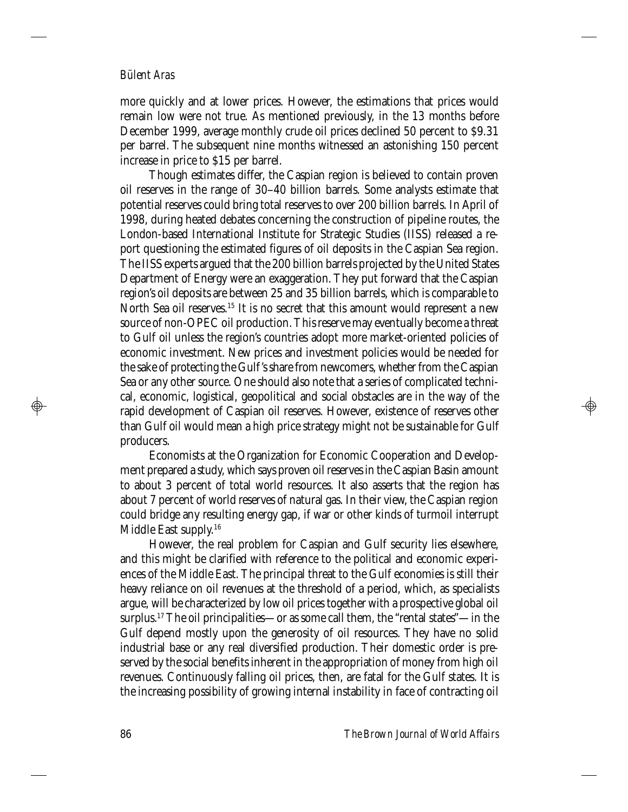more quickly and at lower prices. However, the estimations that prices would remain low were not true. As mentioned previously, in the 13 months before December 1999, average monthly crude oil prices declined 50 percent to \$9.31 per barrel. The subsequent nine months witnessed an astonishing 150 percent increase in price to \$15 per barrel.

Though estimates differ, the Caspian region is believed to contain proven oil reserves in the range of 30–40 billion barrels. Some analysts estimate that potential reserves could bring total reserves to over 200 billion barrels. In April of 1998, during heated debates concerning the construction of pipeline routes, the London-based International Institute for Strategic Studies (IISS) released a report questioning the estimated figures of oil deposits in the Caspian Sea region. The IISS experts argued that the 200 billion barrels projected by the United States Department of Energy were an exaggeration. They put forward that the Caspian region's oil deposits are between 25 and 35 billion barrels, which is comparable to North Sea oil reserves.<sup>15</sup> It is no secret that this amount would represent a new source of non-OPEC oil production. This reserve may eventually become a threat to Gulf oil unless the region's countries adopt more market-oriented policies of economic investment. New prices and investment policies would be needed for the sake of protecting the Gulf's share from newcomers, whether from the Caspian Sea or any other source. One should also note that a series of complicated technical, economic, logistical, geopolitical and social obstacles are in the way of the rapid development of Caspian oil reserves. However, existence of reserves other than Gulf oil would mean a high price strategy might not be sustainable for Gulf producers.

Economists at the Organization for Economic Cooperation and Development prepared a study, which says proven oil reserves in the Caspian Basin amount to about 3 percent of total world resources. It also asserts that the region has about 7 percent of world reserves of natural gas. In their view, the Caspian region could bridge any resulting energy gap, if war or other kinds of turmoil interrupt Middle East supply.<sup>16</sup>

However, the real problem for Caspian and Gulf security lies elsewhere, and this might be clarified with reference to the political and economic experiences of the Middle East. The principal threat to the Gulf economies is still their heavy reliance on oil revenues at the threshold of a period, which, as specialists argue, will be characterized by low oil prices together with a prospective global oil surplus.<sup>17</sup> The oil principalities—or as some call them, the "rental states"—in the Gulf depend mostly upon the generosity of oil resources. They have no solid industrial base or any real diversified production. Their domestic order is preserved by the social benefits inherent in the appropriation of money from high oil revenues. Continuously falling oil prices, then, are fatal for the Gulf states. It is the increasing possibility of growing internal instability in face of contracting oil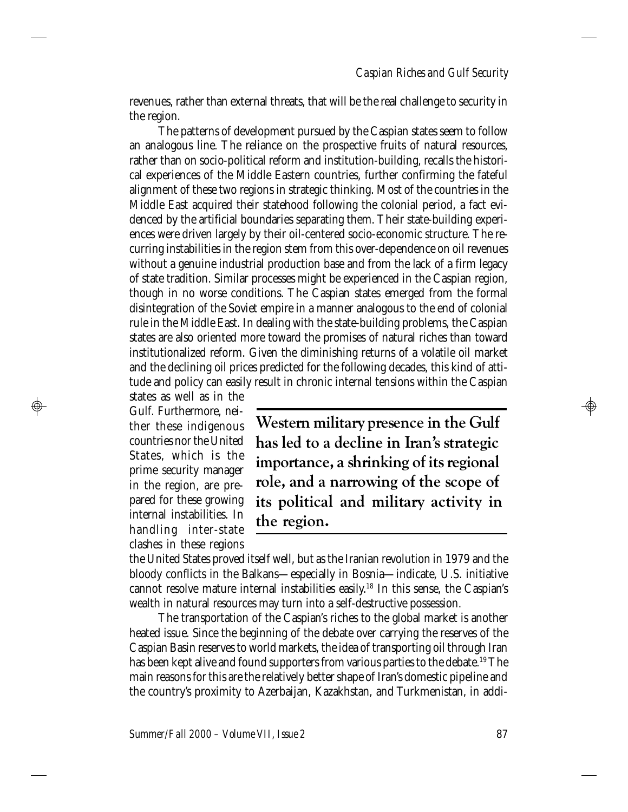revenues, rather than external threats, that will be the real challenge to security in the region.

The patterns of development pursued by the Caspian states seem to follow an analogous line. The reliance on the prospective fruits of natural resources, rather than on socio-political reform and institution-building, recalls the historical experiences of the Middle Eastern countries, further confirming the fateful alignment of these two regions in strategic thinking. Most of the countries in the Middle East acquired their statehood following the colonial period, a fact evidenced by the artificial boundaries separating them. Their state-building experiences were driven largely by their oil-centered socio-economic structure. The recurring instabilities in the region stem from this over-dependence on oil revenues without a genuine industrial production base and from the lack of a firm legacy of state tradition. Similar processes might be experienced in the Caspian region, though in no worse conditions. The Caspian states emerged from the formal disintegration of the Soviet empire in a manner analogous to the end of colonial rule in the Middle East. In dealing with the state-building problems, the Caspian states are also oriented more toward the promises of natural riches than toward institutionalized reform. Given the diminishing returns of a volatile oil market and the declining oil prices predicted for the following decades, this kind of attitude and policy can easily result in chronic internal tensions within the Caspian

states as well as in the Gulf. Furthermore, neither these indigenous countries nor the United States, which is the prime security manager in the region, are prepared for these growing internal instabilities. In handling inter-state clashes in these regions

 $\bigoplus$ 

**Western military presence in the Gulf has led to a decline in Iran's strategic importance, a shrinking of its regional role, and a narrowing of the scope of its political and military activity in the region.**

the United States proved itself well, but as the Iranian revolution in 1979 and the bloody conflicts in the Balkans—especially in Bosnia—indicate, U.S. initiative cannot resolve mature internal instabilities easily.<sup>18</sup> In this sense, the Caspian's wealth in natural resources may turn into a self-destructive possession.

The transportation of the Caspian's riches to the global market is another heated issue. Since the beginning of the debate over carrying the reserves of the Caspian Basin reserves to world markets, the idea of transporting oil through Iran has been kept alive and found supporters from various parties to the debate.<sup>19</sup> The main reasons for this are the relatively better shape of Iran's domestic pipeline and the country's proximity to Azerbaijan, Kazakhstan, and Turkmenistan, in addi-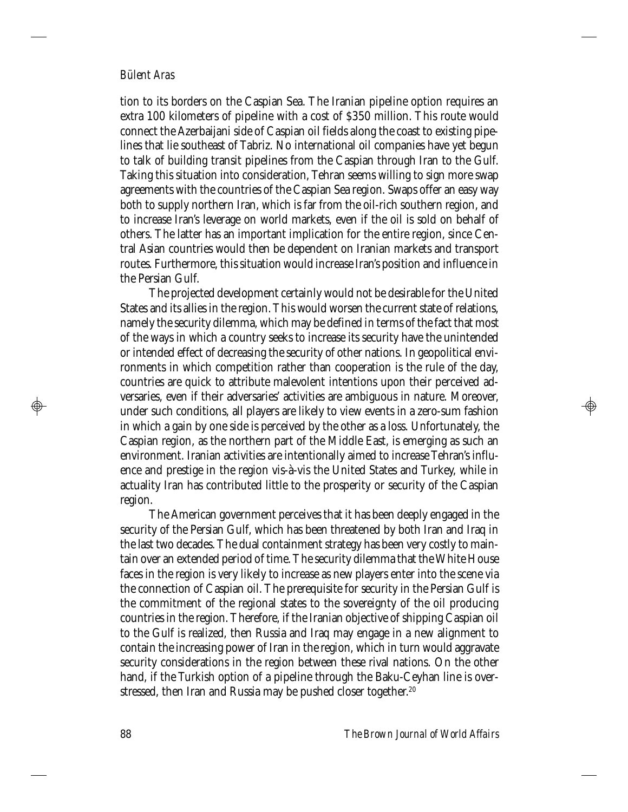tion to its borders on the Caspian Sea. The Iranian pipeline option requires an extra 100 kilometers of pipeline with a cost of \$350 million. This route would connect the Azerbaijani side of Caspian oil fields along the coast to existing pipelines that lie southeast of Tabriz. No international oil companies have yet begun to talk of building transit pipelines from the Caspian through Iran to the Gulf. Taking this situation into consideration, Tehran seems willing to sign more swap agreements with the countries of the Caspian Sea region. Swaps offer an easy way both to supply northern Iran, which is far from the oil-rich southern region, and to increase Iran's leverage on world markets, even if the oil is sold on behalf of others. The latter has an important implication for the entire region, since Central Asian countries would then be dependent on Iranian markets and transport routes. Furthermore, this situation would increase Iran's position and influence in the Persian Gulf.

The projected development certainly would not be desirable for the United States and its allies in the region. This would worsen the current state of relations, namely the security dilemma, which may be defined in terms of the fact that most of the ways in which a country seeks to increase its security have the unintended or intended effect of decreasing the security of other nations. In geopolitical environments in which competition rather than cooperation is the rule of the day, countries are quick to attribute malevolent intentions upon their perceived adversaries, even if their adversaries' activities are ambiguous in nature. Moreover, under such conditions, all players are likely to view events in a zero-sum fashion in which a gain by one side is perceived by the other as a loss. Unfortunately, the Caspian region, as the northern part of the Middle East, is emerging as such an environment. Iranian activities are intentionally aimed to increase Tehran's influence and prestige in the region vis-à-vis the United States and Turkey, while in actuality Iran has contributed little to the prosperity or security of the Caspian region.

The American government perceives that it has been deeply engaged in the security of the Persian Gulf, which has been threatened by both Iran and Iraq in the last two decades. The dual containment strategy has been very costly to maintain over an extended period of time. The security dilemma that the White House faces in the region is very likely to increase as new players enter into the scene via the connection of Caspian oil. The prerequisite for security in the Persian Gulf is the commitment of the regional states to the sovereignty of the oil producing countries in the region. Therefore, if the Iranian objective of shipping Caspian oil to the Gulf is realized, then Russia and Iraq may engage in a new alignment to contain the increasing power of Iran in the region, which in turn would aggravate security considerations in the region between these rival nations. On the other hand, if the Turkish option of a pipeline through the Baku-Ceyhan line is overstressed, then Iran and Russia may be pushed closer together.<sup>20</sup>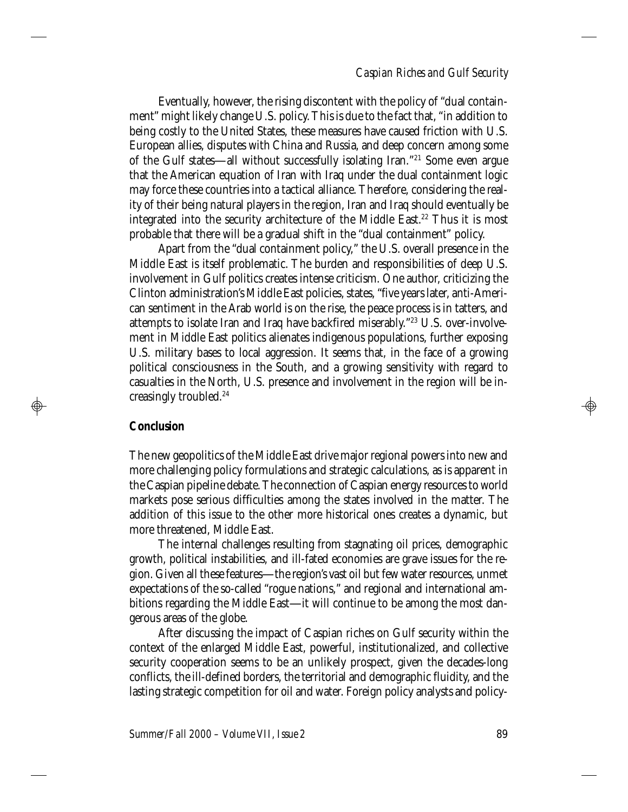## *Caspian Riches and Gulf Security*

Eventually, however, the rising discontent with the policy of "dual containment" might likely change U.S. policy. This is due to the fact that, "in addition to being costly to the United States, these measures have caused friction with U.S. European allies, disputes with China and Russia, and deep concern among some of the Gulf states—all without successfully isolating Iran."<sup>21</sup> Some even argue that the American equation of Iran with Iraq under the dual containment logic may force these countries into a tactical alliance. Therefore, considering the reality of their being natural players in the region, Iran and Iraq should eventually be integrated into the security architecture of the Middle East.<sup>22</sup> Thus it is most probable that there will be a gradual shift in the "dual containment" policy.

Apart from the "dual containment policy," the U.S. overall presence in the Middle East is itself problematic. The burden and responsibilities of deep U.S. involvement in Gulf politics creates intense criticism. One author, criticizing the Clinton administration's Middle East policies, states, "five years later, anti-American sentiment in the Arab world is on the rise, the peace process is in tatters, and attempts to isolate Iran and Iraq have backfired miserably."23 U.S. over-involvement in Middle East politics alienates indigenous populations, further exposing U.S. military bases to local aggression. It seems that, in the face of a growing political consciousness in the South, and a growing sensitivity with regard to casualties in the North, U.S. presence and involvement in the region will be increasingly troubled.<sup>24</sup>

# **Conclusion**

 $\bigoplus$ 

The new geopolitics of the Middle East drive major regional powers into new and more challenging policy formulations and strategic calculations, as is apparent in the Caspian pipeline debate. The connection of Caspian energy resources to world markets pose serious difficulties among the states involved in the matter. The addition of this issue to the other more historical ones creates a dynamic, but more threatened, Middle East.

The internal challenges resulting from stagnating oil prices, demographic growth, political instabilities, and ill-fated economies are grave issues for the region. Given all these features—the region's vast oil but few water resources, unmet expectations of the so-called "rogue nations," and regional and international ambitions regarding the Middle East—it will continue to be among the most dangerous areas of the globe.

After discussing the impact of Caspian riches on Gulf security within the context of the enlarged Middle East, powerful, institutionalized, and collective security cooperation seems to be an unlikely prospect, given the decades-long conflicts, the ill-defined borders, the territorial and demographic fluidity, and the lasting strategic competition for oil and water. Foreign policy analysts and policy-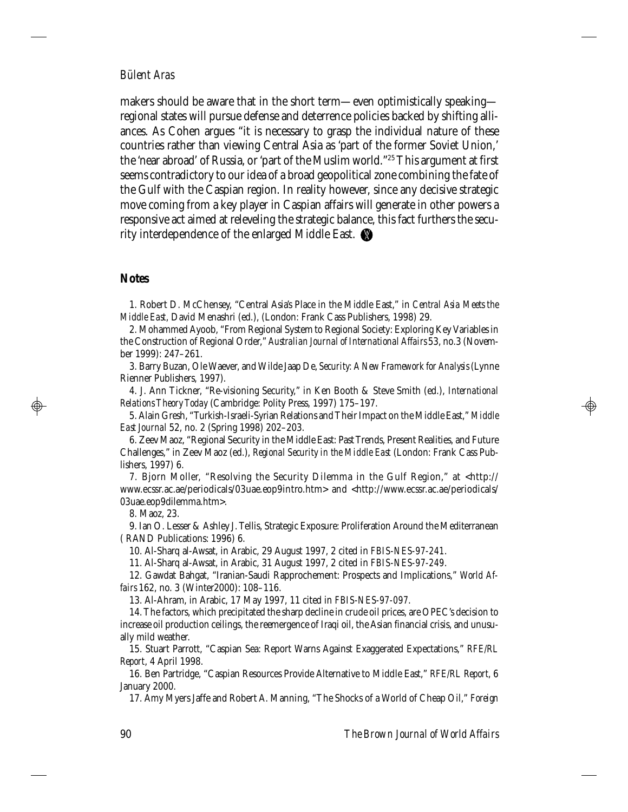makers should be aware that in the short term—even optimistically speaking regional states will pursue defense and deterrence policies backed by shifting alliances. As Cohen argues "it is necessary to grasp the individual nature of these countries rather than viewing Central Asia as 'part of the former Soviet Union,' the 'near abroad' of Russia, or 'part of the Muslim world."<sup>25</sup> This argument at first seems contradictory to our idea of a broad geopolitical zone combining the fate of the Gulf with the Caspian region. In reality however, since any decisive strategic move coming from a key player in Caspian affairs will generate in other powers a responsive act aimed at releveling the strategic balance, this fact furthers the security interdependence of the enlarged Middle East.  $\bigcirc\hspace{-3.5pt}\mathscr{C}$ 

## **Notes**

 $\bigoplus$ 

1. Robert D. McChensey, "Central Asia's Place in the Middle East," in *Central Asia Meets the Middle East*, David Menashri (ed.), (London: Frank Cass Publishers, 1998) 29.

2. Mohammed Ayoob, "From Regional System to Regional Society: Exploring Key Variables in the Construction of Regional Order," *Australian Journal of International Affairs* 53, no.3 (November 1999): 247–261.

3. Barry Buzan, Ole Waever, and Wilde Jaap De, *Security: A New Framework for Analysis* (Lynne Rienner Publishers, 1997).

4. J. Ann Tickner, "Re-visioning Security," in Ken Booth & Steve Smith (ed.), *International Relations Theory Today* (Cambridge: Polity Press, 1997) 175–197.

5. Alain Gresh, "Turkish-Israeli-Syrian Relations and Their Impact on the Middle East," *Middle East Journal* 52, no. 2 (Spring 1998) 202–203.

6. Zeev Maoz, "Regional Security in the Middle East: Past Trends, Present Realities, and Future Challenges," in Zeev Maoz (ed.), *Regional Security in the Middle East* (London: Frank Cass Publishers, 1997) 6.

7. Bjorn Moller, "Resolving the Security Dilemma in the Gulf Region," at <http:// www.ecssr.ac.ae/periodicals/03uae.eop9intro.htm> and <http://www.ecssr.ac.ae/periodicals/ 03uae.eop9dilemma.htm>.

8. Maoz, 23.

9. Ian O. Lesser & Ashley J. Tellis, Strategic Exposure: Proliferation Around the Mediterranean ( RAND Publications: 1996) 6.

10. Al-Sharq al-Awsat, in Arabic, 29 August 1997, 2 cited in *FBIS-NES-97-241*.

11. Al-Sharq al-Awsat, in Arabic, 31 August 1997, 2 cited in *FBIS-NES-97-249*.

12. Gawdat Bahgat, "Iranian-Saudi Rapprochement: Prospects and Implications," *World Affairs* 162, no. 3 (Winter2000): 108–116.

13. Al-Ahram, in Arabic, 17 May 1997, 11 cited in *FBIS-NES-97-097*.

14. The factors, which precipitated the sharp decline in crude oil prices, are OPEC's decision to increase oil production ceilings, the reemergence of Iraqi oil, the Asian financial crisis, and unusually mild weather.

15. Stuart Parrott, "Caspian Sea: Report Warns Against Exaggerated Expectations," *RFE/RL Report*, 4 April 1998.

16. Ben Partridge, "Caspian Resources Provide Alternative to Middle East," *RFE/RL Report*, 6 January 2000.

17. Amy Myers Jaffe and Robert A. Manning, "The Shocks of a World of Cheap Oil," *Foreign*